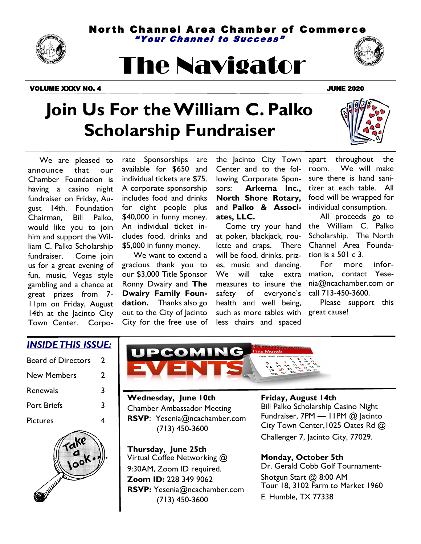Nor th Channel Area Chamber of Commerce "Your Channel to Success "



# The Navigator

#### VOLUME XXXV NO. 4 JUNE 2020



### **Join Us For the William C. Palko Scholarship Fundraiser**



 We are pleased to announce that our Chamber Foundation is having a casino night fundraiser on Friday, August 14th. Foundation Chairman, Bill Palko, would like you to join him and support the William C. Palko Scholarship fundraiser. Come join us for a great evening of fun, music, Vegas style gambling and a chance at great prizes from 7- 11pm on Friday, August 14th at the Jacinto City Town Center. Corporate Sponsorships are available for \$650 and individual tickets are \$75. A corporate sponsorship includes food and drinks for eight people plus \$40,000 in funny money. An individual ticket includes food, drinks and \$5,000 in funny money.

 We want to extend a gracious thank you to our \$3,000 Title Sponsor Ronny Dwairy and **The Dwairy Family Foundation.** Thanks also go out to the City of Jacinto City for the free use of the Jacinto City Town Center and to the following Corporate Sponsors: **Arkema Inc., North Shore Rotary,**  and **Palko & Associates, LLC.**

such as more tables with great cause! Come try your hand at poker, blackjack, roulette and craps. There will be food, drinks, prizes, music and dancing. We will take extra measures to insure the safety of everyone's health and well being, less chairs and spaced

apart throughout the room. We will make sure there is hand sanitizer at each table. All food will be wrapped for individual consumption.

 All proceeds go to the William C. Palko Scholarship. The North Channel Area Foundation is a 501 c 3.

 For more information, contact Yesenia@ncachamber.com or call 713-450-3600.

Please support this

### *INSIDE THIS ISSUE:*

| Board of Directors | 7 |
|--------------------|---|
| <b>New Members</b> | 7 |
| Renewals           | 3 |
| <b>Port Briefs</b> | 3 |
| <b>Pictures</b>    |   |





**Wednesday, June 10th** Chamber Ambassador Meeting **RSVP**: Yesenia@ncachamber.com (713) 450-3600

**Thursday, June 25th** Virtual Coffee Networking @ 9:30AM, Zoom ID required. **Zoom ID:** 228 349 9062 **RSVP:** Yesenia@ncachamber.com (713) 450-3600

#### **Friday, August 14th**

Bill Palko Scholarship Casino Night Fundraiser, 7PM — 11PM @ Jacinto City Town Center,1025 Oates Rd @ Challenger 7, Jacinto City, 77029.

### **Monday, October 5th**

Dr. Gerald Cobb Golf Tournament-Shotgun Start @ 8:00 AM Tour 18, 3102 Farm to Market 1960 E. Humble, TX 77338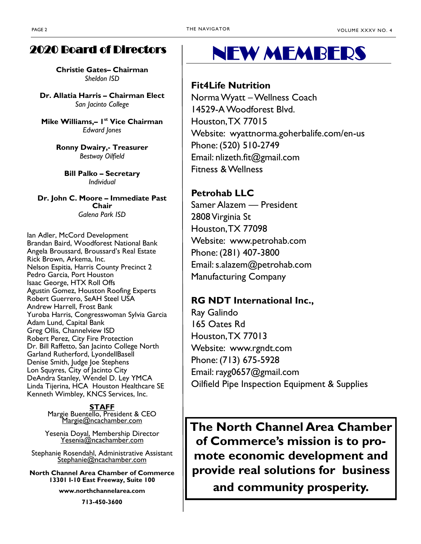### 2020 Board of Directors

**Christie Gates– Chairman** *Sheldon ISD* 

**Dr. Allatia Harris – Chairman Elect** *San Jacinto College* 

**Mike Williams,– 1 st Vice Chairman** *Edward Jones* 

> **Ronny Dwairy,- Treasurer** *Bestway Oilfield*

**Bill Palko – Secretary** *Individual* 

**Dr. John C. Moore – Immediate Past Chair** *Galena Park ISD*

Ian Adler, McCord Development Brandan Baird, Woodforest National Bank Angela Broussard, Broussard's Real Estate Rick Brown, Arkema, Inc. Nelson Espitia, Harris County Precinct 2 Pedro Garcia, Port Houston Isaac George, HTX Roll Offs Agustin Gomez, Houston Roofing Experts Robert Guerrero, SeAH Steel USA Andrew Harrell, Frost Bank Yuroba Harris, Congresswoman Sylvia Garcia Adam Lund, Capital Bank Greg Ollis, Channelview ISD Robert Perez, City Fire Protection Dr. Bill Raffetto, San Jacinto College North Garland Rutherford, LyondellBasell Denise Smith, Judge Joe Stephens Lon Squyres, City of Jacinto City DeAndra Stanley, Wendel D. Ley YMCA Linda Tijerina, HCA Houston Healthcare SE Kenneth Wimbley, KNCS Services, Inc.

#### **STAFF**

Margie Buentello, President & CEO [Margie@ncachamber.com](mailto:Margie@ncachamber.com)

Yesenia Doyal, Membership Director Yesenia[@ncachamber.com](mailto:Blanca@ncachamber.com)

Stephanie Rosendahl, Administrative Assistant Stephanie@ncachamber.com

**North Channel Area Chamber of Commerce 13301 I-10 East Freeway, Suite 100**

**www.northchannelarea.com**

**713-450-3600**

### NEW MEMBERS

### **Fit4Life Nutrition**

Norma Wyatt –Wellness Coach 14529-A Woodforest Blvd. Houston, TX 77015 Website: wyattnorma.goherbalife.com/en-us Phone: (520) 510-2749 Email: nlizeth.fit@gmail.com Fitness & Wellness

### **Petrohab LLC**

Samer Alazem — President 2808 Virginia St Houston, TX 77098 Website: www.petrohab.com Phone: (281) 407-3800 Email: s.alazem@petrohab.com Manufacturing Company

### **RG NDT International Inc.,**

Ray Galindo 165 Oates Rd Houston, TX 77013 Website: www.rgndt.com Phone: (713) 675-5928 Email: rayg0657@gmail.com Oilfield Pipe Inspection Equipment & Supplies

**The North Channel Area Chamber of Commerce's mission is to promote economic development and provide real solutions for business** 

**and community prosperity.**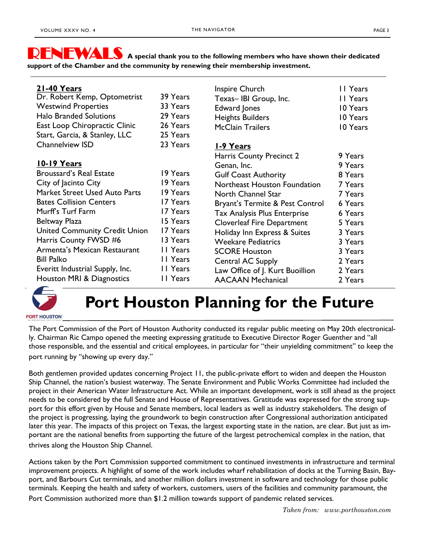RENEWALS **A special thank you to the following members who have shown their dedicated support of the Chamber and the community by renewing their membership investment.**

| 21-40 Years<br>Dr. Robert Kemp, Optometrist<br><b>Westwind Properties</b><br><b>Halo Branded Solutions</b><br>East Loop Chiropractic Clinic<br>Start, Garcia, & Stanley, LLC<br>Channelview ISD     | 39 Years<br>33 Years<br>29 Years<br>26 Years<br>25 Years<br>23 Years             | Inspire Church<br>Texas-IBI Group, Inc.<br>Edward Jones<br><b>Heights Builders</b><br><b>McClain Trailers</b><br>1-9 Years                                                                                 | II Years<br>11 Years<br>10 Years<br>10 Years<br>10 Years                  |
|-----------------------------------------------------------------------------------------------------------------------------------------------------------------------------------------------------|----------------------------------------------------------------------------------|------------------------------------------------------------------------------------------------------------------------------------------------------------------------------------------------------------|---------------------------------------------------------------------------|
| <u><b>10-19 Years</b></u><br><b>Broussard's Real Estate</b><br>City of Jacinto City<br>Market Street Used Auto Parts<br><b>Bates Collision Centers</b><br>Murff's Turf Farm                         | 19 Years<br>19 Years<br>19 Years<br>17 Years<br>17 Years                         | Harris County Precinct 2<br>Genan, Inc.<br><b>Gulf Coast Authority</b><br>Northeast Houston Foundation<br>North Channel Star<br>Bryant's Termite & Pest Control<br><b>Tax Analysis Plus Enterprise</b>     | 9 Years<br>9 Years<br>8 Years<br>7 Years<br>7 Years<br>6 Years<br>6 Years |
| Beltway Plaza<br><b>United Community Credit Union</b><br>Harris County FWSD #6<br>Armenta's Mexican Restaurant<br><b>Bill Palko</b><br>Everitt Industrial Supply, Inc.<br>Houston MRI & Diagnostics | 15 Years<br>17 Years<br>13 Years<br>II Years<br>II Years<br>II Years<br>II Years | <b>Cloverleaf Fire Department</b><br>Holiday Inn Express & Suites<br><b>Weekare Pediatrics</b><br><b>SCORE Houston</b><br>Central AC Supply<br>Law Office of J. Kurt Buoillion<br><b>AACAAN Mechanical</b> | 5 Years<br>3 Years<br>3 Years<br>3 Years<br>2 Years<br>2 Years<br>2 Years |



### **Port Houston Planning for the Future**

**PORT HOUSTON®** 

The Port Commission of the Port of Houston Authority conducted its regular public meeting on May 20th electronically. Chairman Ric Campo opened the meeting expressing gratitude to Executive Director Roger Guenther and "all those responsible, and the essential and critical employees, in particular for "their unyielding commitment" to keep the port running by "showing up every day."

Both gentlemen provided updates concerning Project 11, the public-private effort to widen and deepen the Houston Ship Channel, the nation's busiest waterway. The Senate Environment and Public Works Committee had included the project in their American Water Infrastructure Act. While an important development, work is still ahead as the project needs to be considered by the full Senate and House of Representatives. Gratitude was expressed for the strong support for this effort given by House and Senate members, local leaders as well as industry stakeholders. The design of the project is progressing, laying the groundwork to begin construction after Congressional authorization anticipated later this year. The impacts of this project on Texas, the largest exporting state in the nation, are clear. But just as important are the national benefits from supporting the future of the largest petrochemical complex in the nation, that thrives along the Houston Ship Channel.

Actions taken by the Port Commission supported commitment to continued investments in infrastructure and terminal improvement projects. A highlight of some of the work includes wharf rehabilitation of docks at the Turning Basin, Bayport, and Barbours Cut terminals, and another million dollars investment in software and technology for those public terminals. Keeping the health and safety of workers, customers, users of the facilities and community paramount, the

Port Commission authorized more than \$1.2 million towards support of pandemic related services.